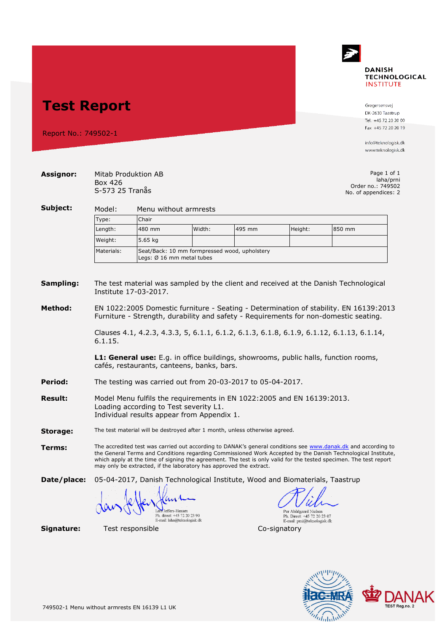

## **Test Report**

Report No.: 749502-1

Gregersensvej DK-2630 Taastrup Tel. +45 72 20 20 00 Fax +45 72 20 20 19

info@teknologisk.dk www.teknologisk.dk

| <b>Assignor:</b> | Mitab Produktion AB<br>Box 426<br>S-573 25 Tranås                                                                                                                                                                                                                                                                                                                                                                        |                                                                            |        |              |                                                                                      | Page 1 of 1<br>laha/prni<br>Order no.: 749502<br>No. of appendices: 2 |  |  |
|------------------|--------------------------------------------------------------------------------------------------------------------------------------------------------------------------------------------------------------------------------------------------------------------------------------------------------------------------------------------------------------------------------------------------------------------------|----------------------------------------------------------------------------|--------|--------------|--------------------------------------------------------------------------------------|-----------------------------------------------------------------------|--|--|
| Subject:         | Model:<br>Menu without armrests                                                                                                                                                                                                                                                                                                                                                                                          |                                                                            |        |              |                                                                                      |                                                                       |  |  |
|                  | Type:                                                                                                                                                                                                                                                                                                                                                                                                                    | Chair                                                                      |        |              |                                                                                      |                                                                       |  |  |
|                  | Length:                                                                                                                                                                                                                                                                                                                                                                                                                  | 480 mm                                                                     | Width: | 495 mm       | Height:                                                                              | 850 mm                                                                |  |  |
|                  | Weight:                                                                                                                                                                                                                                                                                                                                                                                                                  | 5.65 kg                                                                    |        |              |                                                                                      |                                                                       |  |  |
|                  | Materials:                                                                                                                                                                                                                                                                                                                                                                                                               | Seat/Back: 10 mm formpressed wood, upholstery<br>Legs: Ø 16 mm metal tubes |        |              |                                                                                      |                                                                       |  |  |
| Sampling:        | The test material was sampled by the client and received at the Danish Technological<br>Institute 17-03-2017.                                                                                                                                                                                                                                                                                                            |                                                                            |        |              |                                                                                      |                                                                       |  |  |
| Method:          | EN 1022:2005 Domestic furniture - Seating - Determination of stability. EN 16139:2013<br>Furniture - Strength, durability and safety - Requirements for non-domestic seating.                                                                                                                                                                                                                                            |                                                                            |        |              |                                                                                      |                                                                       |  |  |
|                  | Clauses 4.1, 4.2.3, 4.3.3, 5, 6.1.1, 6.1.2, 6.1.3, 6.1.8, 6.1.9, 6.1.12, 6.1.13, 6.1.14,<br>6.1.15.                                                                                                                                                                                                                                                                                                                      |                                                                            |        |              |                                                                                      |                                                                       |  |  |
|                  | L1: General use: E.g. in office buildings, showrooms, public halls, function rooms,<br>cafés, restaurants, canteens, banks, bars.                                                                                                                                                                                                                                                                                        |                                                                            |        |              |                                                                                      |                                                                       |  |  |
| Period:          | The testing was carried out from 20-03-2017 to 05-04-2017.                                                                                                                                                                                                                                                                                                                                                               |                                                                            |        |              |                                                                                      |                                                                       |  |  |
| <b>Result:</b>   | Model Menu fulfils the requirements in EN 1022:2005 and EN 16139:2013.<br>Loading according to Test severity L1.<br>Individual results appear from Appendix 1.                                                                                                                                                                                                                                                           |                                                                            |        |              |                                                                                      |                                                                       |  |  |
| Storage:         | The test material will be destroyed after 1 month, unless otherwise agreed.                                                                                                                                                                                                                                                                                                                                              |                                                                            |        |              |                                                                                      |                                                                       |  |  |
| Terms:           | The accredited test was carried out according to DANAK's general conditions see www.danak.dk and according to<br>the General Terms and Conditions regarding Commissioned Work Accepted by the Danish Technological Institute,<br>which apply at the time of signing the agreement. The test is only valid for the tested specimen. The test report<br>may only be extracted, if the laboratory has approved the extract. |                                                                            |        |              |                                                                                      |                                                                       |  |  |
| Date/place:      | 05-04-2017, Danish Technological Institute, Wood and Biomaterials, Taastrup                                                                                                                                                                                                                                                                                                                                              |                                                                            |        |              |                                                                                      |                                                                       |  |  |
|                  |                                                                                                                                                                                                                                                                                                                                                                                                                          | Ph. direct: +45 72 20 23 90<br>E-mail: laha@teknologisk.dk                 |        |              | Per Abildgaard Nielsen<br>Ph. Direct: +45 72 20 23 07<br>E-mail: prni@teknologisk.dk |                                                                       |  |  |
| Signature:       | Test responsible                                                                                                                                                                                                                                                                                                                                                                                                         |                                                                            |        | Co-signatory |                                                                                      |                                                                       |  |  |

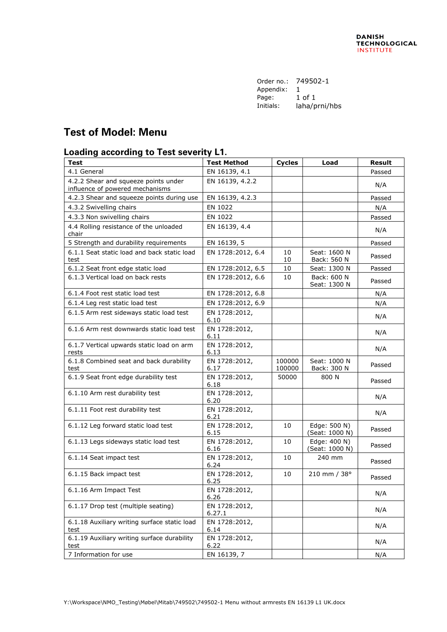| Order no.: | 749502-1      |
|------------|---------------|
| Appendix:  | 1             |
| Page:      | 1 of 1        |
| Initials:  | laha/prni/hbs |
|            |               |

## **Test of Model: Menu**

## **Loading according to Test severity L1.**

| <b>Test</b>                                                             | <b>Test Method</b>      | <b>Cycles</b>    | Load                           | <b>Result</b> |
|-------------------------------------------------------------------------|-------------------------|------------------|--------------------------------|---------------|
| 4.1 General                                                             | EN 16139, 4.1           |                  |                                | Passed        |
| 4.2.2 Shear and squeeze points under<br>influence of powered mechanisms | EN 16139, 4.2.2         |                  |                                | N/A           |
| 4.2.3 Shear and squeeze points during use                               | EN 16139, 4.2.3         |                  |                                | Passed        |
| 4.3.2 Swivelling chairs                                                 | EN 1022                 |                  |                                | N/A           |
| 4.3.3 Non swivelling chairs                                             | EN 1022                 |                  |                                | Passed        |
| 4.4 Rolling resistance of the unloaded<br>chair                         | EN 16139, 4.4           |                  |                                | N/A           |
| 5 Strength and durability requirements                                  | EN 16139, 5             |                  |                                | Passed        |
| 6.1.1 Seat static load and back static load<br>test                     | EN 1728:2012, 6.4       | 10<br>10         | Seat: 1600 N<br>Back: 560 N    | Passed        |
| 6.1.2 Seat front edge static load                                       | EN 1728:2012, 6.5       | 10               | Seat: 1300 N                   | Passed        |
| 6.1.3 Vertical load on back rests                                       | EN 1728:2012, 6.6       | 10               | Back: 600 N<br>Seat: 1300 N    | Passed        |
| 6.1.4 Foot rest static load test                                        | EN 1728:2012, 6.8       |                  |                                | N/A           |
| 6.1.4 Leg rest static load test                                         | EN 1728:2012, 6.9       |                  |                                | N/A           |
| 6.1.5 Arm rest sideways static load test                                | EN 1728:2012,<br>6.10   |                  |                                | N/A           |
| 6.1.6 Arm rest downwards static load test                               | EN 1728:2012,<br>6.11   |                  |                                | N/A           |
| 6.1.7 Vertical upwards static load on arm<br>rests                      | EN 1728:2012,<br>6.13   |                  |                                | N/A           |
| 6.1.8 Combined seat and back durability<br>test                         | EN 1728:2012,<br>6.17   | 100000<br>100000 | Seat: 1000 N<br>Back: 300 N    | Passed        |
| 6.1.9 Seat front edge durability test                                   | EN 1728:2012,<br>6.18   | 50000            | 800 N                          | Passed        |
| 6.1.10 Arm rest durability test                                         | EN 1728:2012,<br>6.20   |                  |                                | N/A           |
| 6.1.11 Foot rest durability test                                        | EN 1728:2012,<br>6.21   |                  |                                | N/A           |
| 6.1.12 Leg forward static load test                                     | EN 1728:2012,<br>6.15   | 10               | Edge: 500 N)<br>(Seat: 1000 N) | Passed        |
| 6.1.13 Legs sideways static load test                                   | EN 1728:2012,<br>6.16   | 10               | Edge: 400 N)<br>(Seat: 1000 N) | Passed        |
| 6.1.14 Seat impact test                                                 | EN 1728:2012,<br>6.24   | 10               | 240 mm                         | Passed        |
| 6.1.15 Back impact test                                                 | EN 1728:2012,<br>6.25   | 10               | $210 \,$ mm / $38^{\circ}$     | Passed        |
| 6.1.16 Arm Impact Test                                                  | EN 1728:2012,<br>6.26   |                  |                                | N/A           |
| 6.1.17 Drop test (multiple seating)                                     | EN 1728:2012,<br>6.27.1 |                  |                                | N/A           |
| 6.1.18 Auxiliary writing surface static load<br>test                    | EN 1728:2012,<br>6.14   |                  |                                | N/A           |
| 6.1.19 Auxiliary writing surface durability<br>test                     | EN 1728:2012,<br>6.22   |                  |                                | N/A           |
| 7 Information for use                                                   | EN 16139, 7             |                  |                                | N/A           |